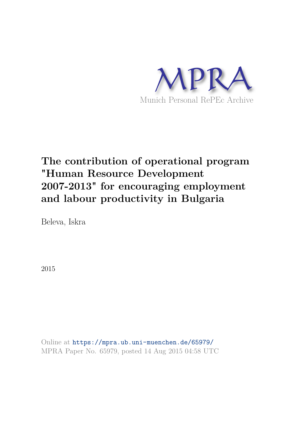

# **The contribution of operational program "Human Resource Development 2007-2013" for encouraging employment and labour productivity in Bulgaria**

Beleva, Iskra

2015

Online at https://mpra.ub.uni-muenchen.de/65979/ MPRA Paper No. 65979, posted 14 Aug 2015 04:58 UTC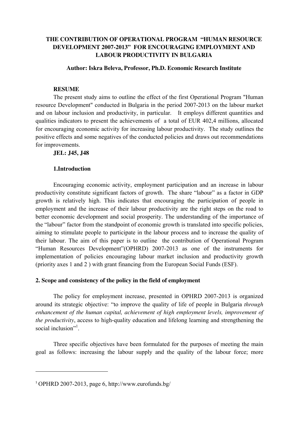# **THE CONTRIBUTION OF OPERATIONAL PROGRAM "HUMAN RESOURCE DEVELOPMENT 2007-2013" FOR ENCOURAGING EMPLOYMENT AND LABOUR PRODUCTIVITY IN BULGARIA**

## **Author: Iskra Beleva, Professor, Ph.D. Economic Research Institute**

#### **RESUME**

The present study aims to outline the effect of the first Operational Program "Human resource Development" conducted in Bulgaria in the period 2007-2013 on the labour market and on labour inclusion and productivity, in particular. It employs different quantities and qualities indicators to present the achievements of a total of EUR 402,4 millions, allocated for encouraging economic activity for increasing labour productivity. The study outlines the positive effects and some negatives of the conducted policies and draws out recommendations for improvements.

## **JEL: J45, J48**

## **1.Introduction**

Encouraging economic activity, employment participation and an increase in labour productivity constitute significant factors of growth. The share "labour" as a factor in GDP growth is relatively high. This indicates that encouraging the participation of people in employment and the increase of their labour productivity are the right steps on the road to better economic development and social prosperity. The understanding of the importance of the "labour" factor from the standpoint of economic growth is translated into specific policies, aiming to stimulate people to participate in the labour process and to increase the quality of their labour. The aim of this paper is to outline the contribution of Operational Program "Human Resources Development"(OPHRD) 2007-2013 as one of the instruments for implementation of policies encouraging labour market inclusion and productivity growth (priority axes 1 and 2 ) with grant financing from the European Social Funds (ESF).

## **2. Scope and consistency of the policy in the field of employment**

The policy for employment increase, presented in OPHRD 2007-2013 is organized around its strategic objective: "to improve the quality of life of people in Bulgaria *through enhancement of the human capital, achievement of high employment levels, improvement of the productivity*, access to high-quality education and lifelong learning and strengthening the social inclusion"<sup>1</sup>.

Three specific objectives have been formulated for the purposes of meeting the main goal as follows: increasing the labour supply and the quality of the labour force; more

<u>.</u>

<sup>1</sup> OPHRD 2007-2013, page 6, http://www.eurofunds.bg/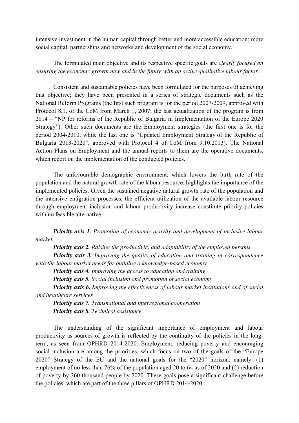intensive investment in the human capital through better and more accessible education; more social capital, partnerships and networks and development of the social economy.

# The formulated main objective and its respective specific goals are *clearly focused on ensuring the economic growth now and in the future with an active qualitative labour factor.*

Consistent and sustainable policies have been formulated for the purposes of achieving that objective; they have been presented in a series of strategic documents such as the National Reform Programs (the first such program is for the period 2007-2009, approved with Protocol 8.1. of the CoM from March 1, 2007; the last actualization of the program is from 2014 – "NP for reforms of the Republic of Bulgaria in Implementation of the Europe 2020 Strategy"). Other such documents are the Employment strategies (the first one is for the period 2004-2010, while the last one is "Updated Employment Strategy of the Republic of Bulgaria 2013-2020", approved with Protocol 4 of CoM from 9.10.2013). The National Action Plans on Employment and the annual reports to them are the operative documents, which report on the implementation of the conducted policies.

The unfavourable demographic environment, which lowers the birth rate of the population and the natural growth rate of the labour resource, highlights the importance of the implemented policies. Given the sustained negative natural growth rate of the population and the intensive emigration processes, the efficient utilization of the available labour resource through employment inclusion and labour productivity increase constitute priority policies with no feasible alternative.

*Priority axis 1. Promotion of economic activity and development of inclusive labour market Priority axis 2. Raising the productivity and adaptability of the employed persons Priority axis 3. Improving the quality of education and training in correspondence with the labour market needs for building a knowledge-based economy Priority axis 4. Improving the access to education and training Priority axis 5. Social inclusion and promotion of social economy Priority axis 6. Improving the effectiveness of labour market institutions and of social and healthcare services Priority axis 7. Transnational and interregional cooperation Priority axis 8. Technical assistance* 

The understanding of the significant importance of employment and labour productivity as sources of growth is reflected by the continuity of the policies in the longterm, as seen from OPHRD 2014-2020. Employment, reducing poverty and encouraging social inclusion are among the priorities, which focus on two of the goals of the "Europe 2020" Strategy of the EU and the national goals for the "2020" horizon, namely: (1) employment of no less than 76% of the population aged 20 to 64 as of 2020 and (2) reduction of poverty by 260 thousand people by 2020. These goals pose a significant challenge before the policies, which are part of the three pillars of OPHRD 2014-2020: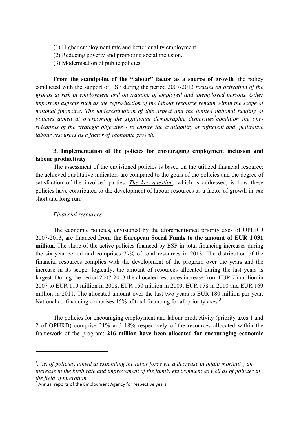- (1) Higher employment rate and better quality employment.
- (2) Reducing poverty and promoting social inclusion.
- (3) Modernisation of public policies

**From the standpoint of the "labour" factor as a source of growth***,* the policy conducted with the support of ESF during the period 2007-2013 *focuses on activation of the groups at risk in employment and on training of employed and unemployed persons. Other important aspects such as the reproduction of the labour resource remain within the scope of national financing. The underestimation of this aspect and the limited national funding of*  policies aimed at overcoming the significant demographic disparities<sup>2</sup> condition the one*sidedness of the strategic objective - to ensure the availability of sufficient and qualitative labour resources as a factor of economic growth.* 

## **3. Implementation of the policies for encouraging employment inclusion and labour productivity**

The assessment of the envisioned policies is based on the utilized financial resource; the achieved qualitative indicators are compared to the goals of the policies and the degree of satisfaction of the involved parties. *The key question*, which is addressed, is how these policies have contributed to the development of labour resources as a factor of growth in тхе short and long-run.

## *Financial resources*

<u>.</u>

The economic policies, envisioned by the aforementioned priority axes of OPHRD 2007-2013, are financed **from the European Social Funds to the amount of EUR 1 031 million**. The share of the active policies financed by ESF in total financing increases during the six-year period and comprises 79% of total resources in 2013. The distribution of the financial resources complies with the development of the program over the years and the increase in its scope; logically, the amount of resources allocated during the last years is largest. During the period 2007-2013 the allocated resources increase from EUR 75 million in 2007 to EUR 110 million in 2008, EUR 150 million in 2009, EUR 158 in 2010 and EUR 169 million in 2011. The allocated amount over the last two years is EUR 180 million per year. National co-financing comprises 15% of total financing for all priority axes <sup>3</sup>

The policies for encouraging employment and labour productivity (priority axes 1 and 2 of OPHRD) comprise 21% and 18% respectively of the resources allocated within the framework of the program: **216 million have been allocated for encouraging economic** 

<sup>&</sup>lt;sup>2</sup>, i.e. of policies, aimed at expanding the labor force via a decrease in infant mortality, an *increase in the birth rate and improvement of the family environment as well as of policies in the field of migration.*

 $3$  Annual reports of the Employment Agency for respective years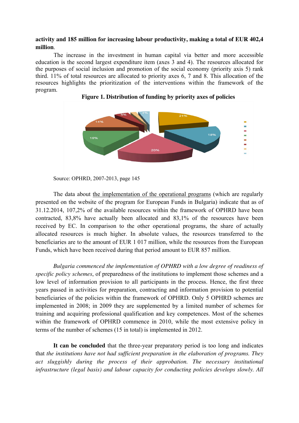## **activity and 185 million for increasing labour productivity, making a total of EUR 402,4 million**.

The increase in the investment in human capital via better and more accessible education is the second largest expenditure item (axes 3 and 4). The resources allocated for the purposes of social inclusion and promotion of the social economy (priority axis 5) rank third. 11% of total resources are allocated to priority axes 6, 7 and 8. This allocation of the resources highlights the prioritization of the interventions within the framework of the program.





Source: OPHRD, 2007-2013, page 145

The data about the implementation of the operational programs (which are regularly presented on the website of the program for European Funds in Bulgaria) indicate that as of 31.12.2014, 107,2% of the available resources within the framework of OPHRD have been contracted, 83,8% have actually been allocated and 83,1% of the resources have been received by EC. In comparison to the other operational programs, the share of actually allocated resources is much higher. In absolute values, the resources transferred to the beneficiaries are to the amount of EUR 1 017 million, while the resources from the European Funds, which have been received during that period amount to EUR 857 million.

 *Bulgaria commenced the implementation of OPHRD with a low degree of readiness of specific policy schemes*, of preparedness of the institutions to implement those schemes and a low level of information provision to all participants in the process. Hence, the first three years passed in activities for preparation, contracting and information provision to potential beneficiaries of the policies within the framework of OPHRD. Only 5 OPHRD schemes are implemented in 2008; in 2009 they are supplemented by a limited number of schemes for training and acquiring professional qualification and key competences. Most of the schemes within the framework of OPHRD commence in 2010, while the most extensive policy in terms of the number of schemes (15 in total) is implemented in 2012.

**It can be concluded** that the three-year preparatory period is too long and indicates that *the institutions have not had sufficient preparation in the elaboration of programs. They act sluggishly during the process of their approbation. The necessary institutional infrastructure (legal basis) and labour capacity for conducting policies develops slowly. All*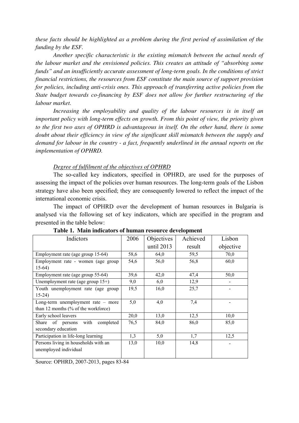*these facts should be highlighted as a problem during the first period of assimilation of the funding by the ESF.* 

*Another specific characteristic is the existing mismatch between the actual needs of the labour market and the envisioned policies. This creates an attitude of "absorbing some funds" and an insufficiently accurate assessment of long-term goals. In the conditions of strict financial restrictions, the resources from ESF constitute the main source of support provision for policies, including anti-crisis ones. This approach of transferring active policies from the State budget towards co-financing by ESF does not allow for further restructuring of the labour market.* 

*Increasing the employability and quality of the labour resources is in itself an important policy with long-term effects on growth. From this point of view, the priority given to the first two axes of OPHRD is advantageous in itself. On the other hand, there is some doubt about their efficiency in view of the significant skill mismatch between the supply and demand for labour in the country - a fact, frequently underlined in the annual reports on the implementation of OPHRD.* 

## *Degree of fulfilment of the objectives of OPHRD*

The so-called key indicators, specified in OPHRD, are used for the purposes of assessing the impact of the policies over human resources. The long-term goals of the Lisbon strategy have also been specified; they are consequently lowered to reflect the impact of the international economic crisis.

The impact of OPHRD over the development of human resources in Bulgaria is analysed via the following set of key indicators, which are specified in the program and presented in the table below:

| Indictors                              | 2006 | Objectives   | Achieved | Lisbon    |
|----------------------------------------|------|--------------|----------|-----------|
|                                        |      | until $2013$ | result   | objective |
| Employment rate (age group 15-64)      | 58,6 | 64,0         | 59,5     | 70,0      |
| Employment rate - women (age group     | 54,6 | 56,0         | 56,8     | 60,0      |
| $15-64$                                |      |              |          |           |
| Employment rate (age group 55-64)      | 39,6 | 42,0         | 47,4     | 50,0      |
| Unemployment rate (age group $15+$ )   | 9,0  | 6,0          | 12,9     |           |
| Youth unemployment rate (age group     | 19,5 | 16,0         | 25,7     |           |
| $15-24$                                |      |              |          |           |
| Long-term unemployment rate $-$ more   | 5,0  | 4,0          | 7,4      |           |
| than 12 months $(\%$ of the workforce) |      |              |          |           |
| Early school leavers                   | 20,0 | 13,0         | 12,5     | 10,0      |
| Share of persons<br>with<br>completed  | 76,5 | 84,0         | 86,0     | 85,0      |
| secondary education                    |      |              |          |           |
| Participation in life-long learning    | 1,3  | 5,0          | 1,7      | 12,5      |
| Persons living in households with an   | 13,0 | 10,0         | 14,8     |           |
| unemployed individual                  |      |              |          |           |
|                                        |      |              |          |           |

| Table 1. Main indicators of human resource development |  |
|--------------------------------------------------------|--|
|--------------------------------------------------------|--|

Source: OPHRD, 2007-2013, pages 83-84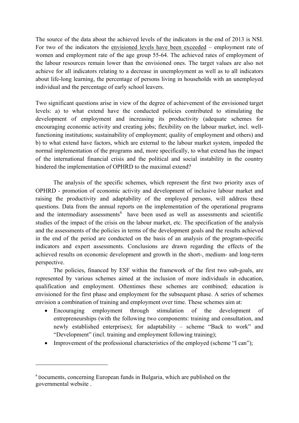The source of the data about the achieved levels of the indicators in the end of 2013 is NSI. For two of the indicators the envisioned levels have been exceeded – employment rate of women and employment rate of the age group 55-64. The achieved rates of employment of the labour resources remain lower than the envisioned ones. The target values are also not achieve for all indicators relating to a decrease in unemployment as well as to all indicators about life-long learning, the percentage of persons living in households with an unemployed individual and the percentage of early school leavers.

Two significant questions arise in view of the degree of achievement of the envisioned target levels: a) to what extend have the conducted policies contributed to stimulating the development of employment and increasing its productivity (adequate schemes for encouraging economic activity and creating jobs; flexibility on the labour market, incl. wellfunctioning institutions; sustainability of employment; quality of employment and others) and b) to what extend have factors, which are external to the labour market system, impeded the normal implementation of the programs and, more specifically, to what extend has the impact of the international financial crisis and the political and social instability in the country hindered the implementation of OPHRD to the maximal extend?

 The analysis of the specific schemes, which represent the first two priority axes of OPHRD - promotion of economic activity and development of inclusive labour market and raising the productivity and adaptability of the employed persons, will address these questions. Data from the annual reports on the implementation of the operational programs and the intermediary assessments<sup>4</sup> have been used as well as assessments and scientific studies of the impact of the crisis on the labour market, etc. The specification of the analysis and the assessments of the policies in terms of the development goals and the results achieved in the end of the period are conducted on the basis of an analysis of the program-specific indicators and expert assessments. Conclusions are drawn regarding the effects of the achieved results on economic development and growth in the short-, medium- and long-term perspective.

The policies, financed by ESF within the framework of the first two sub-goals, are represented by various schemes aimed at the inclusion of more individuals in education, qualification and employment. Oftentimes these schemes are combined; education is envisioned for the first phase and employment for the subsequent phase. A series of schemes envision a combination of training and employment over time. These schemes aim at:

- Encouraging employment through stimulation of the development of entrepreneurships (with the following two components: training and consultation, and newly established enterprises); for adaptability – scheme "Back to work" and "Development" (incl. training and employment following training);
- Improvement of the professional characteristics of the employed (scheme "I can");

<u>.</u>

<sup>4</sup> Documents, concerning European funds in Bulgaria, which are published on the governmental website .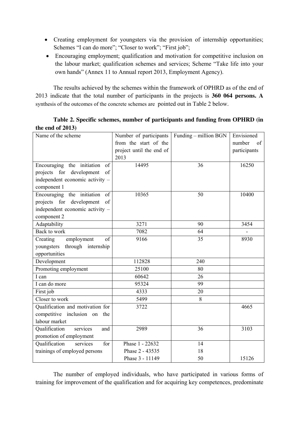- Creating employment for youngsters via the provision of internship opportunities; Schemes "I can do more"; "Closer to work"; "First job";
- Encouraging employment; qualification and motivation for competitive inclusion on the labour market; qualification schemes and services; Scheme "Take life into your own hands" (Annex 11 to Annual report 2013, Employment Agency).

The results achieved by the schemes within the framework of OPHRD as of the end of 2013 indicate that the total number of participants in the projects is **360 064 persons. A** synthesis of the outcomes of the concrete schemes are pointed out in Table 2 below.

**Table 2. Specific schemes, number of participants and funding from OPHRD (in the end of 2013)** 

| Name of the scheme                          | Number of participants   | Funding – million BGN | Envisioned   |
|---------------------------------------------|--------------------------|-----------------------|--------------|
|                                             | from the start of the    |                       | number<br>of |
|                                             | project until the end of |                       | participants |
|                                             | 2013                     |                       |              |
| Encouraging the initiation<br>of            | 14495                    | 36                    | 16250        |
| projects for development<br>of              |                          |                       |              |
| independent economic activity -             |                          |                       |              |
| component 1                                 |                          |                       |              |
| Encouraging the initiation<br><sub>of</sub> | 10365                    | 50                    | 10400        |
| projects for development<br>of              |                          |                       |              |
| independent economic activity -             |                          |                       |              |
| component 2                                 |                          |                       |              |
| Adaptability                                | 3271                     | 90                    | 3454         |
| Back to work                                | 7082                     | 64                    |              |
| of<br>Creating<br>employment                | 9166                     | 35                    | 8930         |
| through internship<br>youngsters            |                          |                       |              |
| opportunities                               |                          |                       |              |
| Development                                 | 112828                   | 240                   |              |
| Promoting employment                        | 25100                    | 80                    |              |
| I can                                       | 60642                    | 26                    |              |
| I can do more                               | 95324                    | 99                    |              |
| First job                                   | 4333                     | 20                    |              |
| Closer to work                              | 5499                     | 8                     |              |
| Qualification and motivation for            | 3722                     |                       | 4665         |
| competitive inclusion on<br>the             |                          |                       |              |
| labour market                               |                          |                       |              |
| Qualification<br>services<br>and            | 2989                     | 36                    | 3103         |
| promotion of employment                     |                          |                       |              |
| Qualification<br>services<br>for            | Phase 1 - 22632          | 14                    |              |
| trainings of employed persons               | Phase 2 - 43535          | 18                    |              |
|                                             | Phase 3 - 11149          | 50                    | 15126        |

The number of employed individuals, who have participated in various forms of training for improvement of the qualification and for acquiring key competences, predominate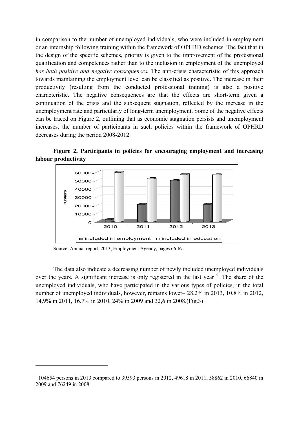in comparison to the number of unemployed individuals, who were included in employment or an internship following training within the framework of OPHRD schemes. The fact that in the design of the specific schemes, priority is given to the improvement of the professional qualification and competences rather than to the inclusion in employment of the unemployed *has both positive and negative consequences.* The anti-crisis characteristic of this approach towards maintaining the employment level can be classified as positive. The increase in their productivity (resulting from the conducted professional training) is also a positive characteristic. The negative consequences are that the effects are short-term given a continuation of the crisis and the subsequent stagnation, reflected by the increase in the unemployment rate and particularly of long-term unemployment. Some of the negative effects can be traced on Figure 2, outlining that as economic stagnation persists and unemployment increases, the number of participants in such policies within the framework of OPHRD decreases during the period 2008-2012.

**Figure 2. Participants in policies for encouraging employment and increasing labour productivity** 



Source: Annual report, 2013, Employment Agency, pages 66-67.

<u>.</u>

The data also indicate a decreasing number of newly included unemployed individuals over the years. A significant increase is only registered in the last year  $<sup>5</sup>$ . The share of the</sup> unemployed individuals, who have participated in the various types of policies, in the total number of unemployed individuals, however, remains lower– 28.2% in 2013, 10.8% in 2012, 14.9% in 2011, 16.7% in 2010, 24% in 2009 and 32,6 in 2008.(Fig.3)

<sup>&</sup>lt;sup>5</sup> 104654 persons in 2013 compared to 39593 persons in 2012, 49618 in 2011, 58862 in 2010, 66840 in 2009 and 76249 in 2008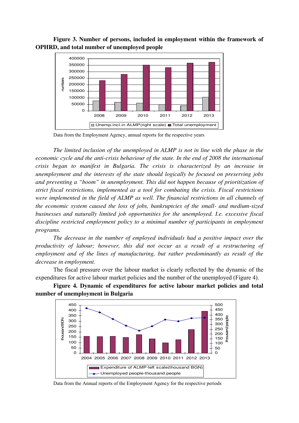



Data from the Employment Agency, annual reports for the respective years

*The limited inclusion of the unemployed in ALMP is not in line with the phase in the economic cycle and the anti-crisis behaviour of the state. In the end of 2008 the international crisis began to manifest in Bulgaria. The crisis is characterized by an increase in unemployment and the interests of the state should logically be focused on preserving jobs and preventing a "boom" in unemployment. This did not happen because of prioritization of strict fiscal restrictions, implemented as a tool for combating the crisis. Fiscal restrictions were implemented in the field of ALMP as well. The financial restrictions in all channels of the economic system caused the loss of jobs, bankruptcies of the small- and medium-sized businesses and naturally limited job opportunities for the unemployed. I.e. excessive fiscal discipline restricted employment policy to a minimal number of participants in employment programs.* 

*The decrease in the number of employed individuals had a positive impact over the productivity of labour; however, this did not occur as a result of a restructuring of employment and of the lines of manufacturing, but rather predominantly as result of the decrease in employment.* 

The fiscal pressure over the labour market is clearly reflected by the dynamic of the expenditures for active labour market policies and the number of the unemployed (Figure 4).





Data from the Annual reports of the Employment Agency for the respective periods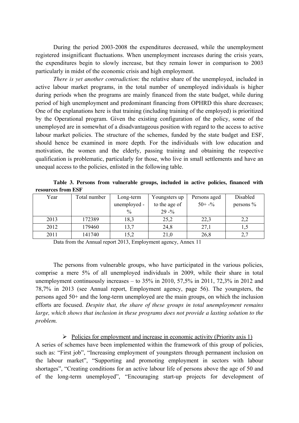During the period 2003-2008 the expenditures decreased, while the unemployment registered insignificant fluctuations. When unemployment increases during the crisis years, the expenditures begin to slowly increase, but they remain lower in comparison to 2003 particularly in midst of the economic crisis and high employment.

*There is yet another contradiction*: the relative share of the unemployed, included in active labour market programs, in the total number of unemployed individuals is higher during periods when the programs are mainly financed from the state budget, while during period of high unemployment and predominant financing from OPHRD this share decreases; One of the explanations here is that training (including training of the employed) is prioritized by the Operational program. Given the existing configuration of the policy, some of the unemployed are in somewhat of a disadvantageous position with regard to the access to active labour market policies. The structure of the schemes, funded by the state budget and ESF, should hence be examined in more depth. For the individuals with low education and motivation, the women and the elderly, passing training and obtaining the respective qualification is problematic, particularly for those, who live in small settlements and have an unequal access to the policies, enlisted in the following table.

**Table 3. Persons from vulnerable groups, included in active policies, financed with resources from ESF**

| Year | Total number | Long-term     | Youngsters up | Persons aged        | Disabled     |
|------|--------------|---------------|---------------|---------------------|--------------|
|      |              | unemployed -  | to the age of | $50 + -\frac{6}{9}$ | persons $\%$ |
|      |              | $\frac{0}{0}$ | $29 - %$      |                     |              |
| 2013 | 172389       | 18,3          | 25,2          | 22,3                | 2,2          |
| 2012 | 179460       | 13,7          | 24,8          | 27,1                |              |
| 2011 | 141740       | 15,2          | 21,0          | 26,8                | 2,7          |

Data from the Annual report 2013, Employment agency, Annex 11

The persons from vulnerable groups, who have participated in the various policies, comprise a mere 5% of all unemployed individuals in 2009, while their share in total unemployment continuously increases – to  $35\%$  in 2010,  $57,5\%$  in 2011,  $72,3\%$  in 2012 and 78,7% in 2013 (see Annual report, Employment agency, page 56). The youngsters, the persons aged 50+ and the long-term unemployed are the main groups, on which the inclusion efforts are focused. *Despite that, the share of these groups in total unemployment remains large, which shows that inclusion in these programs does not provide a lasting solution to the problem.*

 $\triangleright$  Policies for employment and increase in economic activity (Priority axis 1) A series of schemes have been implemented within the framework of this group of policies, such as: "First job", "Increasing employment of youngsters through permanent inclusion on the labour market", "Supporting and promoting employment in sectors with labour shortages", "Creating conditions for an active labour life of persons above the age of 50 and of the long-term unemployed", "Encouraging start-up projects for development of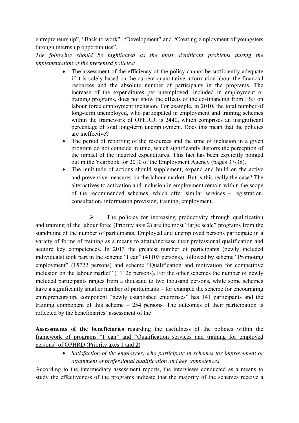entrepreneurship", "Back to work", "Development" and "Creating employment of youngsters through internship opportunities".

*The following should be highlighted as the most significant problems during the implementation of the presented policies:* 

- The assessment of the efficiency of the policy cannot be sufficiently adequate if it is solely based on the current quantitative information about the financial resources and the absolute number of participants in the programs. The increase of the expenditures per unemployed, included in employment or training programs, does not show the effects of the co-financing from ESF on labour force employment inclusion. For example, in 2010, the total number of long-term unemployed, who participated in employment and training schemes within the framework of OPHRD, is 2440, which comprises an insignificant percentage of total long-term unemployment. Does this mean that the policies are ineffective?
- The period of reporting of the resources and the time of inclusion in a given program do not coincide in time, which significantly distorts the perception of the impact of the incurred expenditures. This fact has been explicitly pointed out in the Yearbook for 2010 of the Employment Agency (pages 37-38).
- The multitude of actions should supplement, expand and build on the active and preventive measures on the labour market. But is this really the case? The alternatives to activation and inclusion in employment remain within the scope of the recommended schemes, which offer similar services – registration, consultation, information provision, training, employment.

 $\triangleright$  The policies for increasing productivity through qualification and training of the labour force (Priority axis 2) are the most "large scale" programs from the standpoint of the number of participants. Employed and unemployed persons participate in a variety of forms of training as a means to attain/increase their professional qualification and acquire key competences. In 2013 the greatest number of participants (newly included individuals) took part in the scheme "I can" (41103 persons), followed by scheme "Promoting employment" (15722 persons) and scheme "Qualification and motivation for competitive inclusion on the labour market" (11126 persons). For the other schemes the number of newly included participants ranges from a thousand to two thousand persons, while some schemes have a significantly smaller number of participants – for example the scheme for encouraging entrepreneurship, component "newly established enterprises" has 141 participants and the training component of this scheme – 254 persons. The outcomes of their participation is reflected by the beneficiaries' assessment of the

**Assessments of the beneficiaries** regarding the usefulness of the policies within the framework of programs "I can" and "Qualification services and training for employed persons" of OPHRD (Priority axes 1 and 2)

> • *Satisfaction of the employees, who participate in schemes for improvement or attainment of professional qualification and key competences*

According to the intermediary assessment reports, the interviews conducted as a means to study the effectiveness of the programs indicate that the majority of the schemes receive a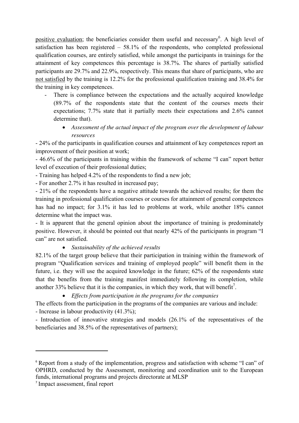positive evaluation; the beneficiaries consider them useful and necessary<sup>6</sup>. A high level of satisfaction has been registered – 58.1% of the respondents, who completed professional qualification courses, are entirely satisfied, while amongst the participants in trainings for the attainment of key competences this percentage is 38.7%. The shares of partially satisfied participants are 29.7% and 22.9%, respectively. This means that share of participants, who are not satisfied by the training is 12.2% for the professional qualification training and 38.4% for the training in key competences.

- There is compliance between the expectations and the actually acquired knowledge (89.7% of the respondents state that the content of the courses meets their expectations; 7.7% state that it partially meets their expectations and 2.6% cannot determine that).
	- *Assessment of the actual impact of the program over the development of labour resources*

- 24% of the participants in qualification courses and attainment of key competences report an improvement of their position at work;

- 46.6% of the participants in training within the framework of scheme "I can" report better level of execution of their professional duties;

- Training has helped 4.2% of the respondents to find a new job;

- For another 2.7% it has resulted in increased pay;

- 21% of the respondents have a negative attitude towards the achieved results; for them the training in professional qualification courses or courses for attainment of general competences has had no impact; for 3.1% it has led to problems at work, while another 18% cannot determine what the impact was.

- It is apparent that the general opinion about the importance of training is predominately positive. However, it should be pointed out that nearly 42% of the participants in program "I can" are not satisfied.

• *Sustainability of the achieved results* 

82.1% of the target group believe that their participation in training within the framework of program "Qualification services and training of employed people" will benefit them in the future, i.e. they will use the acquired knowledge in the future; 62% of the respondents state that the benefits from the training manifest immediately following its completion, while another 33% believe that it is the companies, in which they work, that will benefit<sup>7</sup>.

• *Effects from participation in the programs for the companies* 

The effects from the participation in the programs of the companies are various and include:

- Increase in labour productivity (41.3%);

- Introduction of innovative strategies and models (26.1% of the representatives of the beneficiaries and 38.5% of the representatives of partners);

-

<sup>&</sup>lt;sup>6</sup> Report from a study of the implementation, progress and satisfaction with scheme "I can" of OPHRD, conducted by the Assessment, monitoring and coordination unit to the European funds, international programs and projects directorate at MLSP

<sup>7</sup> Impact assessment, final report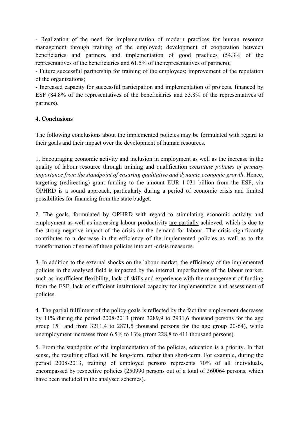- Realization of the need for implementation of modern practices for human resource management through training of the employed; development of cooperation between beneficiaries and partners, and implementation of good practices (54.3% of the representatives of the beneficiaries and 61.5% of the representatives of partners);

- Future successful partnership for training of the employees; improvement of the reputation of the organizations;

- Increased capacity for successful participation and implementation of projects, financed by ESF (84.8% of the representatives of the beneficiaries and 53.8% of the representatives of partners).

# **4. Conclusions**

The following conclusions about the implemented policies may be formulated with regard to their goals and their impact over the development of human resources.

1. Encouraging economic activity and inclusion in employment as well as the increase in the quality of labour resource through training and qualification *constitute policies of primary importance from the standpoint of ensuring qualitative and dynamic economic growth*. Hence, targeting (redirecting) grant funding to the amount EUR 1 031 billion from the ESF, via OPHRD is a sound approach, particularly during a period of economic crisis and limited possibilities for financing from the state budget.

2. The goals, formulated by OPHRD with regard to stimulating economic activity and employment as well as increasing labour productivity are partially achieved, which is due to the strong negative impact of the crisis on the demand for labour. The crisis significantly contributes to a decrease in the efficiency of the implemented policies as well as to the transformation of some of these policies into anti-crisis measures.

3. In addition to the external shocks on the labour market, the efficiency of the implemented policies in the analysed field is impacted by the internal imperfections of the labour market, such as insufficient flexibility, lack of skills and experience with the management of funding from the ESF, lack of sufficient institutional capacity for implementation and assessment of policies.

4. The partial fulfilment of the policy goals is reflected by the fact that employment decreases by 11% during the period 2008-2013 (from 3289,9 to 2931,6 thousand persons for the age group 15+ and from 3211,4 to 2871,5 thousand persons for the age group 20-64), while unemployment increases from 6.5% to 13% (from 228,8 to 411 thousand persons).

5. From the standpoint of the implementation of the policies, education is a priority. In that sense, the resulting effect will be long-term, rather than short-term. For example, during the period 2008-2013, training of employed persons represents 70% of all individuals, encompassed by respective policies (250990 persons out of a total of 360064 persons, which have been included in the analysed schemes).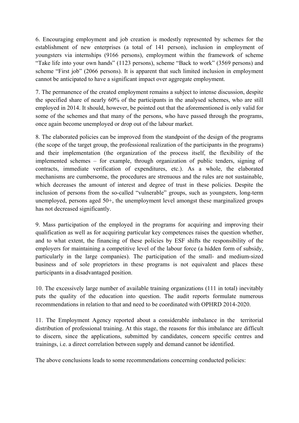6. Encouraging employment and job creation is modestly represented by schemes for the establishment of new enterprises (a total of 141 person), inclusion in employment of youngsters via internships (9166 persons), employment within the framework of scheme "Take life into your own hands" (1123 persons), scheme "Back to work" (3569 persons) and scheme "First job" (2066 persons). It is apparent that such limited inclusion in employment cannot be anticipated to have a significant impact over aggregate employment.

7. The permanence of the created employment remains a subject to intense discussion, despite the specified share of nearly 60% of the participants in the analysed schemes, who are still employed in 2014. It should, however, be pointed out that the aforementioned is only valid for some of the schemes and that many of the persons, who have passed through the programs, once again become unemployed or drop out of the labour market.

8. The elaborated policies can be improved from the standpoint of the design of the programs (the scope of the target group, the professional realization of the participants in the programs) and their implementation (the organization of the process itself, the flexibility of the implemented schemes – for example, through organization of public tenders, signing of contracts, immediate verification of expenditures, etc.). As a whole, the elaborated mechanisms are cumbersome, the procedures are strenuous and the rules are not sustainable, which decreases the amount of interest and degree of trust in these policies. Despite the inclusion of persons from the so-called "vulnerable" groups, such as youngsters, long-term unemployed, persons aged 50+, the unemployment level amongst these marginalized groups has not decreased significantly.

9. Mass participation of the employed in the programs for acquiring and improving their qualification as well as for acquiring particular key competences raises the question whether, and to what extent, the financing of these policies by ESF shifts the responsibility of the employers for maintaining a competitive level of the labour force (a hidden form of subsidy, particularly in the large companies). The participation of the small- and medium-sized business and of sole proprietors in these programs is not equivalent and places these participants in a disadvantaged position.

10. The excessively large number of available training organizations (111 in total) inevitably puts the quality of the education into question. The audit reports formulate numerous recommendations in relation to that and need to be coordinated with OPHRD 2014-2020.

11. The Employment Agency reported about a considerable imbalance in the territorial distribution of professional training. At this stage, the reasons for this imbalance are difficult to discern, since the applications, submitted by candidates, concern specific centres and trainings, i.e. a direct correlation between supply and demand cannot be identified.

The above conclusions leads to some recommendations concerning conducted policies: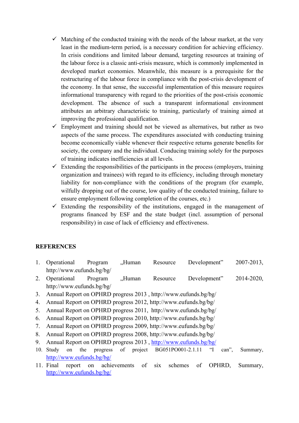- $\checkmark$  Matching of the conducted training with the needs of the labour market, at the very least in the medium-term period, is a necessary condition for achieving efficiency. In crisis conditions and limited labour demand, targeting resources at training of the labour force is a classic anti-crisis measure, which is commonly implemented in developed market economies. Meanwhile, this measure is a prerequisite for the restructuring of the labour force in compliance with the post-crisis development of the economy. In that sense, the successful implementation of this measure requires informational transparency with regard to the priorities of the post-crisis economic development. The absence of such a transparent informational environment attributes an arbitrary characteristic to training, particularly of training aimed at improving the professional qualification.
- $\checkmark$  Employment and training should not be viewed as alternatives, but rather as two aspects of the same process. The expenditures associated with conducting training become economically viable whenever their respective returns generate benefits for society, the company and the individual. Conducing training solely for the purposes of training indicates inefficiencies at all levels.
- $\checkmark$  Extending the responsibilities of the participants in the process (employers, training organization and trainees) with regard to its efficiency, including through monetary liability for non-compliance with the conditions of the program (for example, wilfully dropping out of the course, low quality of the conducted training, failure to ensure employment following completion of the courses, etc.)
- $\checkmark$  Extending the responsibility of the institutions, engaged in the management of programs financed by ESF and the state budget (incl. assumption of personal responsibility) in case of lack of efficiency and effectiveness.

## **REFERENCES**

- 1. Operational Program .Human Resource Development" 2007-2013, http://www.eufunds.bg/bg/
- 2. Operational Program "Human Resource Development" 2014-2020, http://www.eufunds.bg/bg/
- 3. Annual Report on OPHRD progress 2013 , http://www.eufunds.bg/bg/
- 4. Annual Report on OPHRD progress 2012, http://www.eufunds.bg/bg/
- 5. Annual Report on OPHRD progress 2011, http://www.eufunds.bg/bg/
- 6. Annual Report on OPHRD progress 2010, http://www.eufunds.bg/bg/
- 7. Annual Report on OPHRD progress 2009, http://www.eufunds.bg/bg/
- 8. Annual Report on OPHRD progress 2008, http://www.eufunds.bg/bg/
- 9. Annual Report on OPHRD progress 2013 , http://www.eufunds.bg/bg/
- 10. Study on the progress of project BG051PO001-2.1.11 "I can", Summary, http://www.eufunds.bg/bg/
- 11. Final report on achievements of six schemes of OPHRD, Summary, http://www.eufunds.bg/bg/